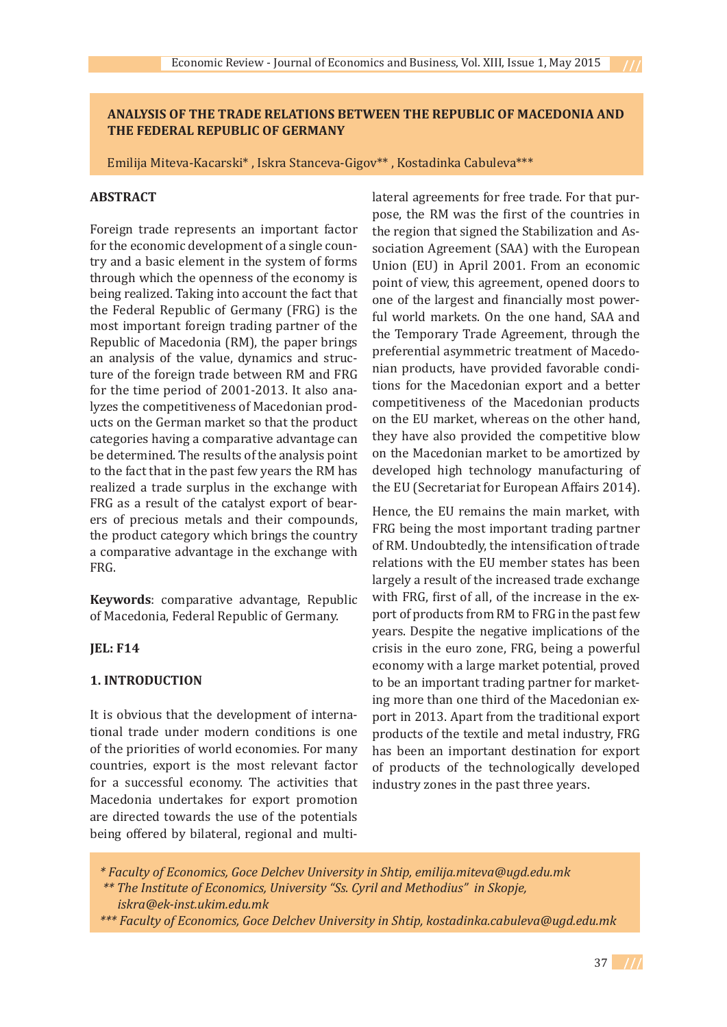## **ANALYSIS OF THE TRADE RELATIONS BETWEEN THE REPUBLIC OF MACEDONIA AND THE FEDERAL REPUBLIC OF GERMANY**

Emilija Miteva-Kacarski\* , Iskra Stanceva-Gigov\*\* , Kostadinka Cabuleva\*\*\*

#### **ABSTRACT**

Foreign trade represents an important factor for the economic development of a single country and a basic element in the system of forms through which the openness of the economy is being realized. Taking into account the fact that the Federal Republic of Germany (FRG) is the most important foreign trading partner of the Republic of Macedonia (RM), the paper brings an analysis of the value, dynamics and structure of the foreign trade between RM and FRG for the time period of 2001-2013. It also analyzes the competitiveness of Macedonian products on the German market so that the product categories having a comparative advantage can be determined. The results of the analysis point to the fact that in the past few years the RM has realized a trade surplus in the exchange with FRG as a result of the catalyst export of bearers of precious metals and their compounds, the product category which brings the country a comparative advantage in the exchange with FRG.

**Keywords**: comparative advantage, Republic of Macedonia, Federal Republic of Germany.

## **JEL: F14**

## **1. INTRODUCTION**

It is obvious that the development of international trade under modern conditions is one of the priorities of world economies. For many countries, export is the most relevant factor for a successful economy. The activities that Macedonia undertakes for export promotion are directed towards the use of the potentials being offered by bilateral, regional and multilateral agreements for free trade. For that purpose, the RM was the first of the countries in the region that signed the Stabilization and Association Agreement (SAA) with the European Union (EU) in April 2001. From an economic point of view, this agreement, opened doors to one of the largest and financially most powerful world markets. On the one hand, SAA and the Temporary Trade Agreement, through the preferential asymmetric treatment of Macedonian products, have provided favorable conditions for the Macedonian export and a better competitiveness of the Macedonian products on the EU market, whereas on the other hand, they have also provided the competitive blow on the Macedonian market to be amortized by developed high technology manufacturing of the EU (Secretariat for European Affairs 2014).

Hence, the EU remains the main market, with FRG being the most important trading partner of RM. Undoubtedly, the intensification of trade relations with the EU member states has been largely a result of the increased trade exchange with FRG, first of all, of the increase in the export of products from RM to FRG in the past few years. Despite the negative implications of the crisis in the euro zone, FRG, being a powerful economy with a large market potential, proved to be an important trading partner for marketing more than one third of the Macedonian export in 2013. Apart from the traditional export products of the textile and metal industry, FRG has been an important destination for export of products of the technologically developed industry zones in the past three years.

 *\* Faculty of Economics, Goce Delchev University in Shtip, emilija.miteva@ugd.edu.mk \*\* The Institute of Economics, University "Ss. Cyril and Methodius" in Skopje,* 

 *iskra@ek-inst.ukim.edu.mk*

 *<sup>\*\*\*</sup> Faculty of Economics, Goce Delchev University in Shtip, kostadinka.cabuleva@ugd.edu.mk*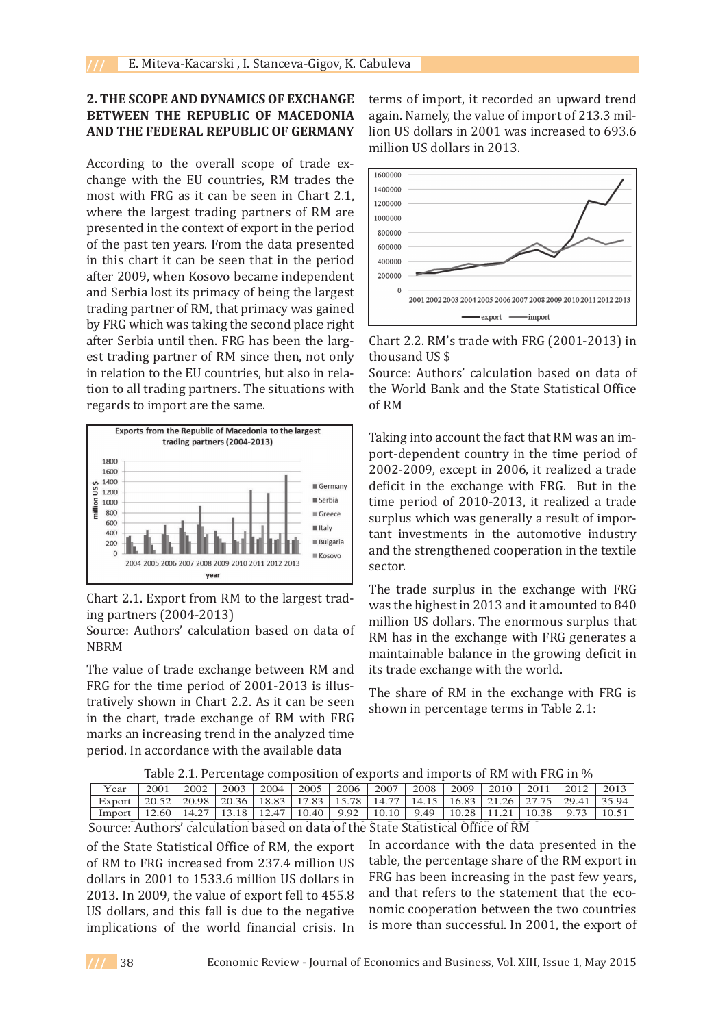## **2. THE SCOPE AND DYNAMICS OF EXCHANGE BETWEEN THE REPUBLIC OF MACEDONIA AND THE FEDERAL REPUBLIC OF GERMANY**

According to the overall scope of trade exchange with the EU countries, RM trades the most with FRG as it can be seen in Chart 2.1, where the largest trading partners of RM are presented in the context of export in the period of the past ten years. From the data presented in this chart it can be seen that in the period after 2009, when Kosovo became independent and Serbia lost its primacy of being the largest trading partner of RM, that primacy was gained by FRG which was taking the second place right after Serbia until then. FRG has been the largest trading partner of RM since then, not only in relation to the EU countries, but also in relation to all trading partners. The situations with regards to import are the same.



Chart 2.1. Export from RM to the largest trading partners (2004-2013)

Source: Authors' calculation based on data of NBRM

The value of trade exchange between RM and FRG for the time period of 2001-2013 is illustratively shown in Chart 2.2. As it can be seen in the chart, trade exchange of RM with FRG marks an increasing trend in the analyzed time period. In accordance with the available data

**CHANGE** terms of import, it recorded an upward trend  $\tt EDOMIA$  again. Namely, the value of import of 213.3 mil-**ERMANY** lion US dollars in 2001 was increased to 693.6 million US dollars in 2013. **CHANGE** corrected to 120 million US dominant Lemons in 2013. In 2013, the value of  $\alpha$  $\frac{1}{200}$  and  $\frac{1}{200}$  was increased to  $\frac{1}{200}$  dollars in 2001 was increased



Chart 2.2. RM's trade with FRG  $(2001-2013)$  in not only thousand US  $$$ 

Source: Authors' calculation based on data of the World Bank and the State Statistical Office ions with the World Bank and the State Statistical Office of RM  $2002-2006$  $\mathbf{p}$  is realized a trade surplus which was generally a result of important which was generally a result of important  $\mathbf{p}$ 

 $\begin{array}{c|c}\n\text{Taking into account the fact that RM was an im-} \end{array}$  $\Box$  port-dependent country in the time period of  $2002-2009$ , except in 2006, it realized a trade  $\blacksquare$  Germany deficit in the exchange with FRG. But in the time period of 2010-2013, it realized a trade surplus which was generally a result of important investments in the automotive industry and the strengthened cooperation in the textile sector.

> The trade surplus in the exchange with FRG was the highest in 2013 and it amounted to 840 million US dollars. The enormous surplus that RM has in the exchange with FRG generates a maintainable balance in the growing deficit in its trade exchange with the world.

> The share of RM in the exchange with FRG is shown in percentage terms in Table 2.1:

| Table 2.1. Percentage composition of exports and imports of RM with FRG in % |  |  |  |  |  |  |  |
|------------------------------------------------------------------------------|--|--|--|--|--|--|--|
|                                                                              |  |  |  |  |  |  |  |

| Year                                                                                                                                                                            |  | 2001   2002   2003   2004   2005   2006   2007   2008   2009   2010   2011   2012   2013 |  |  |  |  |  |
|---------------------------------------------------------------------------------------------------------------------------------------------------------------------------------|--|------------------------------------------------------------------------------------------|--|--|--|--|--|
| Export $\mid$ 20.52 $\mid$ 20.98 $\mid$ 20.36 $\mid$ 18.83 $\mid$ 17.83 $\mid$ 15.78 $\mid$ 14.77 $\mid$ 14.15 $\mid$ 16.83 $\mid$ 21.26 $\mid$ 27.75 $\mid$ 29.41 $\mid$ 35.94 |  |                                                                                          |  |  |  |  |  |
| Import   12.60   14.27   13.18   12.47   10.40   9.92   10.10   9.49   10.28   11.21   10.38   9.73   10.51                                                                     |  |                                                                                          |  |  |  |  |  |

Source: Authors' calculation based on data of the State Statistical Office of RM

of the State Statistical Office of RM, the export In accordance with the data presented in the of RM to FRG increased from 237.4 million US dollars in 2001 to 1533.6 million US dollars in  $\overline{\phantom{a}}$  rM has been increasing in the past lew years 2013. In 2009, the value of export fell to  $455.8$  and that refers to the statement that the eco US dollars, and this fall is due to the negative implications of the world financial crisis. In

In accordance with the data presented in the to FRG increased from 237.4 million US table, the percentage share of the RM export in in 2001 to 1533.6 million US dollars in FRG has been increasing in the past few years, and that refers to the statement that the ecoars, and this fall is due to the negative nomic cooperation between the two countries tions of the world financial crisis. In is more than successful. In 2001, the export of

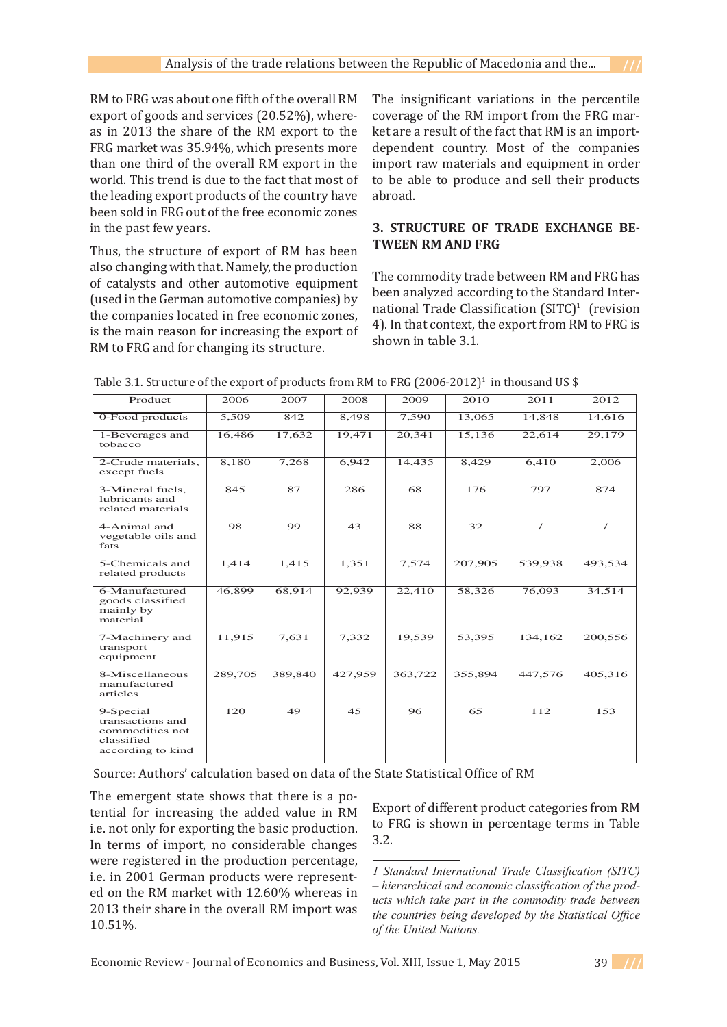RM to FRG was about one fifth of the overall RM export of goods and services (20.52%), whereas in 2013 the share of the RM export to the FRG market was 35.94%, which presents more than one third of the overall RM export in the world. This trend is due to the fact that most of the leading export products of the country have been sold in FRG out of the free economic zones in the past few years.

Thus, the structure of export of RM has been also changing with that. Namely, the production of catalysts and other automotive equipment (used in the German automotive companies) by the companies located in free economic zones, is the main reason for increasing the export of RM to FRG and for changing its structure.

The insignificant variations in the percentile coverage of the RM import from the FRG market are a result of the fact that RM is an importdependent country. Most of the companies import raw materials and equipment in order to be able to produce and sell their products abroad.

# **3. STRUCTURE OF TRADE EXCHANGE BE-TWEEN RM AND FRG**

The commodity trade between RM and FRG has been analyzed according to the Standard International Trade Classification  $(SITC)^1$  (revision 4). In that context, the export from RM to FRG is shown in table 3.1.

| Product                                                                             | 2006    | 2007    | 2008    | 2009    | 2010    | 2011     | 2012     |
|-------------------------------------------------------------------------------------|---------|---------|---------|---------|---------|----------|----------|
| 0-Food products                                                                     | 5,509   | 842     | 8,498   | 7,590   | 13,065  | 14,848   | 14,616   |
| 1-Beverages and<br>tobacco                                                          | 16,486  | 17,632  | 19,471  | 20,341  | 15,136  | 22,614   | 29,179   |
| 2-Crude materials,<br>except fuels                                                  | 8,180   | 7,268   | 6,942   | 14,435  | 8,429   | 6,410    | 2.006    |
| 3-Mineral fuels,<br>lubricants and<br>related materials                             | 845     | 87      | 286     | 68      | 176     | 797      | 874      |
| 4-Animal and<br>vegetable oils and<br>fats                                          | 98      | 99      | 43      | 88      | 32      | $\prime$ | $\prime$ |
| 5-Chemicals and<br>related products                                                 | 1,414   | 1,415   | 1,351   | 7,574   | 207,905 | 539,938  | 493,534  |
| 6-Manufactured<br>goods classified<br>mainly by<br>material                         | 46,899  | 68,914  | 92,939  | 22,410  | 58,326  | 76,093   | 34,514   |
| 7-Machinery and<br>transport<br>equipment                                           | 11,915  | 7,631   | 7,332   | 19,539  | 53,395  | 134,162  | 200,556  |
| 8-Miscellaneous<br>manufactured<br>articles                                         | 289,705 | 389,840 | 427,959 | 363,722 | 355,894 | 447,576  | 405,316  |
| 9-Special<br>transactions and<br>commodities not<br>classified<br>according to kind | 120     | 49      | 45      | 96      | 65      | 112      | 153      |

Source: Authors' calculation based on data of the State Statistical Office of RM  $\mathbb{E}_{\mathbf{z}}$  of different product categories from RM to FRG is shown in percentage terms in  $\mathbb{E}_{\mathbf{z}}$ 

The emergent state shows that there is a potential for increasing the added value in RM i.e. not only for exporting the basic production. In terms of import, no considerable changes were registered in the production percentage, i.e. in 2001 German products were represented on the RM market with 12.60% whereas in 2013 their share in the overall RM import was 10.51%.

Export of different product categories from RM Fitum for filtreasing the added value in  $K_M$  to  $\overline{FRG}$  is shown in percentage terms in Table  $\overline{Br}$ . 3.2.



*Standard International Trade Classification (SITC) – hierarchical and economic classification of the products which take part in the commodity trade between the countries being developed by the Statistical Office of the United Nations.*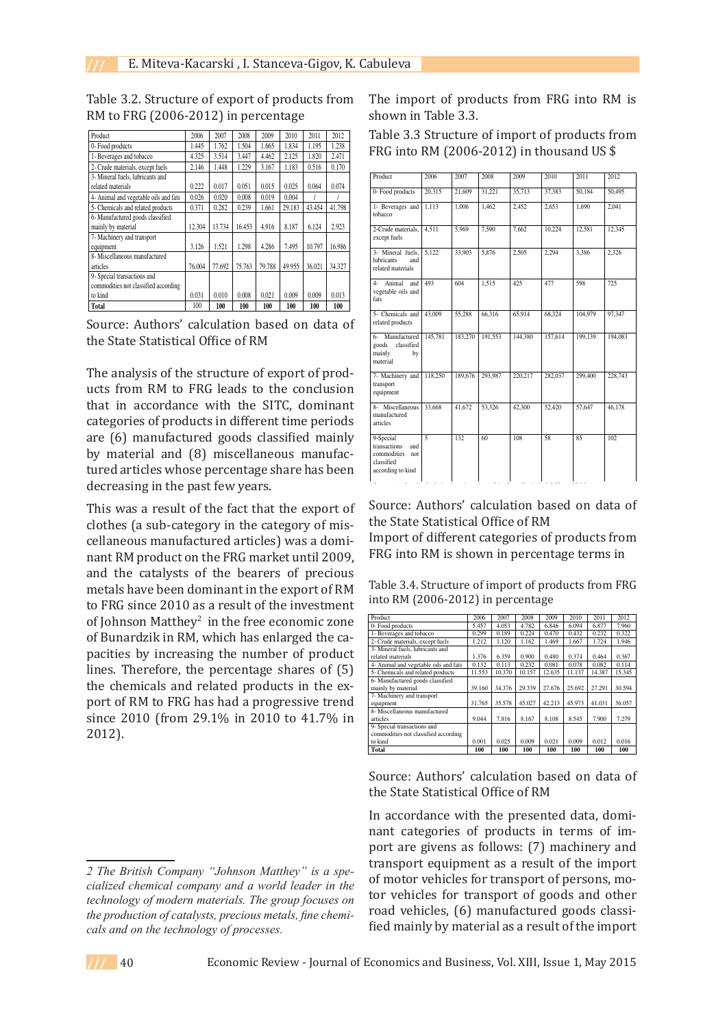| Product                               | 2006   | 2007   | 2008   | 2009   | 2010   | 2011   | 2012   |
|---------------------------------------|--------|--------|--------|--------|--------|--------|--------|
| 0- Food products                      | 1.445  | 1.762  | 1.504  | 1.665  | 1.834  | 1.195  | 1.238  |
| 1- Beverages and tobacco              | 4.325  | 3.514  | 3.447  | 4.462  | 2.125  | 1.820  | 2.471  |
| 2- Crude materials, except fuels      | 2.146  | 1.448  | 1.229  | 3.167  | 1.183  | 0.516  | 0.170  |
| 3- Mineral fuels, lubricants and      |        |        |        |        |        |        |        |
| related materials                     | 0.222  | 0.017  | 0.051  | 0.015  | 0.025  | 0.064  | 0.074  |
| 4- Animal and vegetable oils and fats | 0.026  | 0.020  | 0.008  | 0.019  | 0.004  |        |        |
| 5- Chemicals and related products     | 0.371  | 0.282  | 0.239  | 1.661  | 29.183 | 43.454 | 41.798 |
| 6- Manufactured goods classified      |        |        |        |        |        |        |        |
| mainly by material                    | 12.304 | 13.734 | 16.453 | 4.916  | 8.187  | 6.124  | 2.923  |
| 7- Machinery and transport            |        |        |        |        |        |        |        |
| equipment                             | 3.126  | 1.521  | 1.298  | 4.286  | 7.495  | 10.797 | 16.986 |
| 8- Miscellaneous manufactured         |        |        |        |        |        |        |        |
| articles                              | 76.004 | 77.692 | 75.763 | 79.788 | 49.955 | 36.021 | 34.327 |
| 9- Special transactions and           |        |        |        |        |        |        |        |
| commodities not classified according  |        |        |        |        |        |        |        |
| to kind                               | 0.031  | 0.010  | 0.008  | 0.021  | 0.009  | 0.009  | 0.013  |
| <b>Total</b>                          | 100    | 100    | 100    | 100    | 100    | 100    | 100    |

Table 3.2. Structure of export of products from RM to FRG (2006-2012) in percentage

Source: Authors' calculation based on data of the State Statistical Office of RM in accordance with the SITC, dominant categories of products in different time periods are (6)

The analysis of the structure of export of products from RM to FRG leads to the conclusion that in accordance with the SITC, dominant categories of products in different time periods are (6) manufactured goods classified mainly by material and (8) miscellaneous manufactured articles whose percentage share has been decreasing in the past few years.  $\alpha$  is a category in the sub-category in the category of  $\alpha$  production are articles. ire (o) manuiactui

This was a result of the fact that the export of clothes (a sub-category in the category of miscellaneous manufactured articles) was a dominant RM product on the FRG market until 2009, and the catalysts of the bearers of precious metals have been dominant in the export of RM to FRG since 2010 as a result of the investment of Johnson Matthey<sup>2</sup> in the free economic zone of Bunardzik in RM, which has enlarged the capacities by increasing the number of product lines. Therefore, the percentage shares of (5) the chemicals and related products in the export of RM to FRG has had a progressive trend since 2010 (from 29.1% in 2010 to 41.7% in 2012). technology of processes.

The import of products from FRG into RM is shown in Table 3.3.

Table 3.3 Structure of import of products from FRG into RM (2006-2012) in thousand US \$

| Product                                                                                   | 2006           | 2007    | 2008    | 2009    | 2010    | 2011    | 2012    |
|-------------------------------------------------------------------------------------------|----------------|---------|---------|---------|---------|---------|---------|
| 0- Food products                                                                          | 20,315         | 21,609  | 31,221  | 35,713  | 37.383  | 50.184  | 50.495  |
| 1- Beverages and<br>tobacco                                                               | 1.113          | 1,006   | 1.462   | 2.452   | 2.653   | 1.690   | 2.041   |
| 2-Crude materials,<br>except fuels                                                        | 4.511          | 5,969   | 7,590   | 7,662   | 10,224  | 12,581  | 12,345  |
| 3- Mineral fuels,<br>lubricants<br>and<br>related materials                               | 5,122          | 33,903  | 5,876   | 2,505   | 2,294   | 3,386   | 2,326   |
| 4- Animal<br>and<br>vegetable oils and<br>fats                                            | 493            | 604     | 1,515   | 425     | 477     | 598     | 725     |
| 5- Chemicals and<br>related products                                                      | 43,009         | 55.288  | 66.316  | 65.914  | 68.324  | 104,979 | 97.347  |
| Manufactured<br>$6 -$<br>classified<br>goods<br>mainly<br>by<br>material                  | 145,781        | 183,270 | 191.553 | 144,380 | 157,614 | 199.139 | 194.083 |
| 7- Machinery and<br>transport<br>equipment                                                | 118,250        | 189,676 | 293,987 | 220,217 | 282,037 | 299,400 | 228,743 |
| 8- Miscellaneous<br>manufactured<br>articles                                              | 33,668         | 41,672  | 53,326  | 42,300  | 52,420  | 57,647  | 46.178  |
| 9-Special<br>transactions<br>and<br>commodities<br>not<br>classified<br>according to kind | $\overline{5}$ | 132     | 60      | 108     | 58      | 85      | 102     |

Source: Authors' calculation based on data of the State Statistical Office of RM

Import of different categories of products from FRG into RM is shown in percentage terms in

Table 3.4. Structure of import of products from FRG into RM (2006-2012) in percentage Table 3.4 Structure of import of products from FRG into RM (2006-2012) in percentage

| Product                               | 2006   | 2007   | 2008   | 2009   | 2010   | 2011   | 2012   |
|---------------------------------------|--------|--------|--------|--------|--------|--------|--------|
| 0- Food products                      | 5.457  | 4.053  | 4.782  | 6.846  | 6.094  | 6.877  | 7.960  |
| 1- Beverages and tobacco              | 0.299  | 0.189  | 0.224  | 0.470  | 0.432  | 0.232  | 0.322  |
| 2- Crude materials, except fuels      | 1.212  | 1.120  | 1.162  | 1.469  | 1.667  | 1.724  | 1.946  |
| 3- Mineral fuels, lubricants and      |        |        |        |        |        |        |        |
| related materials                     | 1.376  | 6.359  | 0.900  | 0.480  | 0.374  | 0.464  | 0.367  |
| 4- Animal and vegetable oils and fats | 0.132  | 0.113  | 0.232  | 0.081  | 0.078  | 0.082  | 0.114  |
| 5- Chemicals and related products     | 11.553 | 10.370 | 10.157 | 12.635 | 11.137 | 14.387 | 15.345 |
| 6- Manufactured goods classified      |        |        |        |        |        |        |        |
| mainly by material                    | 39.160 | 34.376 | 29.339 | 27.676 | 25.692 | 27.291 | 30.594 |
| 7- Machinery and transport            |        |        |        |        |        |        |        |
| equipment                             | 31.765 | 35.578 | 45.027 | 42.213 | 45.973 | 41.031 | 36.057 |
| 8- Miscellaneous manufactured         |        |        |        |        |        |        |        |
| articles                              | 9.044  | 7.816  | 8.167  | 8.108  | 8.545  | 7.900  | 7.279  |
| 9- Special transactions and           |        |        |        |        |        |        |        |
| commodities not classified according  |        |        |        |        |        |        |        |
| to kind                               | 0.001  | 0.025  | 0.009  | 0.021  | 0.009  | 0.012  | 0.016  |
| Total                                 | 100    | 100    | 100    | 100    | 100    | 100    | 100    |

Source: Authors' calculation based on data of the State Statistical Office of RM

In accordance with the presented data, dominant categories of products in terms of import are givens as follows: (7) machinery and transport equipment as a result of the import of motor vehicles for transport of persons, motor vehicles for transport of goods and other road vehicles, (6) manufactured goods classified mainly by material as a result of the import

*The British Company "Johnson Matthey" is a specialized chemical company and a world leader in the technology of modern materials. The group focuses on the production of catalysts, precious metals, fine chemicals and on the technology of processes.*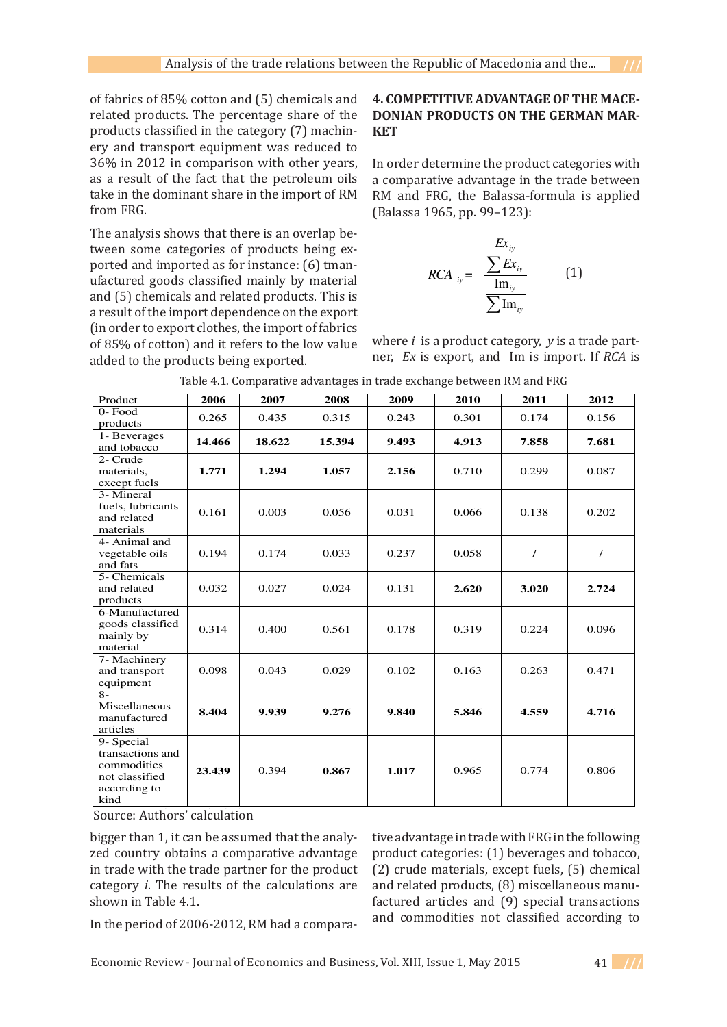of fabrics of 85% cotton and (5) chemicals and related products. The percentage share of the products classified in the category (7) machinery and transport equipment was reduced to 36% in 2012 in comparison with other years, as a result of the fact that the petroleum oils take in the dominant share in the import of RM from FRG.

The analysis shows that there is an overlap between some categories of products being exported and imported as for instance: (6) tmanufactured goods classified mainly by material and (5) chemicals and related products. This is a result of the import dependence on the export (in order to export clothes, the import of fabrics of 85% of cotton) and it refers to the low value added to the products being exported.

#### **4. COMPETITIVE ADVANTAGE OF THE MACE-EXAMPLE IT IT VE ADVANTAGE OF THE MACE-**<br>**DONIAN PRODUCTS ON THE GERMAN MAR-KET FRUDUCTS UN THE**

In order determine the product categories with a comparative advantage in the trade between RM and FRG, the Balassa-formula is applied (Balassa 1965, pp. 99–123):

$$
RCA_{iy} = \frac{\frac{Ex_{iy}}{\sum Ex_{iy}}}{\frac{\text{Im}_{iy}}{\sum \text{Im}_{iy}}}
$$
 (1)

where *i* is a product category, *y* is a trade partner,  $Ex$  is export, and  $Im$  is import. If  $RCA$  is

| Product                                                                                 | 2006   | 2007   | 2008   | 2009  | 2010  | 2011     | 2012  |
|-----------------------------------------------------------------------------------------|--------|--------|--------|-------|-------|----------|-------|
| 0-Food                                                                                  | 0.265  | 0.435  | 0.315  | 0.243 | 0.301 | 0.174    | 0.156 |
| products                                                                                |        |        |        |       |       |          |       |
| 1- Beverages<br>and tobacco                                                             | 14.466 | 18.622 | 15.394 | 9.493 | 4.913 | 7.858    | 7.681 |
| 2- Crude<br>materials.<br>except fuels                                                  | 1.771  | 1.294  | 1.057  | 2.156 | 0.710 | 0.299    | 0.087 |
| 3- Mineral<br>fuels, lubricants<br>and related<br>materials                             | 0.161  | 0.003  | 0.056  | 0.031 | 0.066 | 0.138    | 0.202 |
| 4- Animal and<br>vegetable oils<br>and fats                                             | 0.194  | 0.174  | 0.033  | 0.237 | 0.058 | $\prime$ | 7     |
| 5- Chemicals<br>and related<br>products                                                 | 0.032  | 0.027  | 0.024  | 0.131 | 2.620 | 3.020    | 2.724 |
| 6-Manufactured<br>goods classified<br>mainly by<br>material                             | 0.314  | 0.400  | 0.561  | 0.178 | 0.319 | 0.224    | 0.096 |
| 7- Machinery<br>and transport<br>equipment                                              | 0.098  | 0.043  | 0.029  | 0.102 | 0.163 | 0.263    | 0.471 |
| $8-$<br>Miscellaneous<br>manufactured<br>articles                                       | 8.404  | 9.939  | 9.276  | 9.840 | 5.846 | 4.559    | 4.716 |
| 9- Special<br>transactions and<br>commodities<br>not classified<br>according to<br>kind | 23.439 | 0.394  | 0.867  | 1.017 | 0.965 | 0.774    | 0.806 |

Source: Authors' calculation

 $\frac{1}{20}$  country obtains a comparative advantage product categories: (1) beverages and tobacc relation products a comparative advantage product categories. (1) beverages and tobaccines in the special trans bigger than 1, it can be assumed that the analyin trade with the trade partner for the product category *i*. The results of the calculations are shown in Table 4.1.

igger than 1, it can be assumed that the analy- tive advantage in trade with FRG in the following i trade with the trade partner for the product  $(2)$  crude materials, except fuels, (5) chemical ategory *i*. The results of the calculations are and related products, (8) miscellaneous manunown in Table 4.1. The sectees and (9) special transactions with the sectees and (9) special transactions  $\frac{1}{2}$  and commodities not classified according to the period of 2006-2012. RM had a comparaproduct categories: (1) beverages and tobacco,

In the period of 2006-2012, RM had a compara-

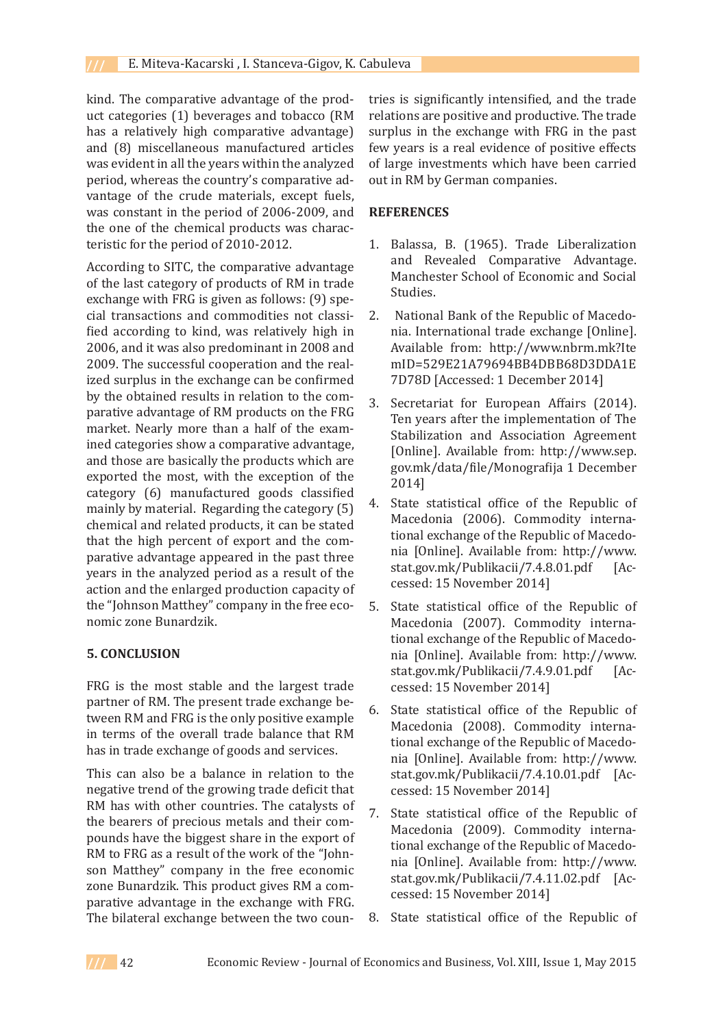kind. The comparative advantage of the product categories (1) beverages and tobacco (RM has a relatively high comparative advantage) and (8) miscellaneous manufactured articles was evident in all the years within the analyzed period, whereas the country's comparative advantage of the crude materials, except fuels, was constant in the period of 2006-2009, and the one of the chemical products was characteristic for the period of 2010-2012.

According to SITC, the comparative advantage of the last category of products of RM in trade exchange with FRG is given as follows: (9) special transactions and commodities not classified according to kind, was relatively high in 2006, and it was also predominant in 2008 and 2009. The successful cooperation and the realized surplus in the exchange can be confirmed by the obtained results in relation to the comparative advantage of RM products on the FRG market. Nearly more than a half of the examined categories show a comparative advantage, and those are basically the products which are exported the most, with the exception of the category (6) manufactured goods classified mainly by material. Regarding the category (5) chemical and related products, it can be stated that the high percent of export and the comparative advantage appeared in the past three years in the analyzed period as a result of the action and the enlarged production capacity of the "Johnson Matthey" company in the free economic zone Bunardzik.

#### **5. CONCLUSION**

FRG is the most stable and the largest trade partner of RM. The present trade exchange between RM and FRG is the only positive example in terms of the overall trade balance that RM has in trade exchange of goods and services.

This can also be a balance in relation to the negative trend of the growing trade deficit that RM has with other countries. The catalysts of the bearers of precious metals and their compounds have the biggest share in the export of RM to FRG as a result of the work of the "Johnson Matthey" company in the free economic zone Bunardzik. This product gives RM a comparative advantage in the exchange with FRG. The bilateral exchange between the two countries is significantly intensified, and the trade relations are positive and productive. The trade surplus in the exchange with FRG in the past few years is a real evidence of positive effects of large investments which have been carried out in RM by German companies.

#### **REFERENCES**

- 1. Balassa, B. (1965). Trade Liberalization and Revealed Comparative Advantage. Manchester School of Economic and Social Studies.
- National Bank of the Republic of Macedonia. International trade exchange [Online]. Available from: http://www.nbrm.mk?Ite mID=529E21A79694BB4DBB68D3DDA1E 7D78D [Accessed: 1 December 2014] 2.
- Secretariat for European Affairs (2014). Ten years after the implementation of The Stabilization and Association Agreement [Online]. Available from: http://www.sep. gov.mk/data/file/Monografija 1 December 2014] 3.
- State statistical office of the Republic of Macedonia (2006). Commodity international exchange of the Republic of Macedonia [Online]. Available from: http://www.<br>stat.gov.mk/Publikacii/7.4.8.01.pdf [Acstat.gov.mk/Publikacii/7.4.8.01.pdf cessed: 15 November 2014] 4.
- State statistical office of the Republic of Macedonia (2007). Commodity international exchange of the Republic of Macedonia [Online]. Available from: http://www. stat.gov.mk/Publikacii/7.4.9.01.pdf [Accessed: 15 November 2014] 5.
- State statistical office of the Republic of Macedonia (2008). Commodity international exchange of the Republic of Macedonia [Online]. Available from: http://www. stat.gov.mk/Publikacii/7.4.10.01.pdf [Accessed: 15 November 2014] 6.
- State statistical office of the Republic of Macedonia (2009). Commodity international exchange of the Republic of Macedonia [Online]. Available from: http://www. stat.gov.mk/Publikacii/7.4.11.02.pdf [Accessed: 15 November 2014] 7.
- State statistical office of the Republic of 8.